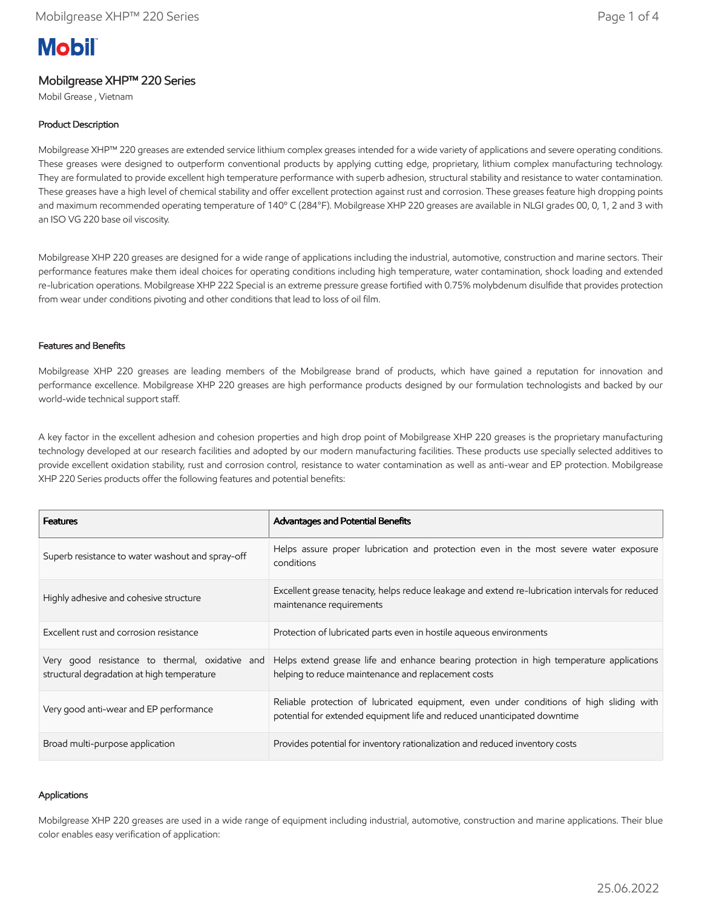# **Mobil**

# Mobilgrease XHP™ 220 Series

Mobil Grease , Vietnam

## Product Description

Mobilgrease XHP™ 220 greases are extended service lithium complex greases intended for a wide variety of applications and severe operating conditions. These greases were designed to outperform conventional products by applying cutting edge, proprietary, lithium complex manufacturing technology. They are formulated to provide excellent high temperature performance with superb adhesion, structural stability and resistance to water contamination. These greases have a high level of chemical stability and offer excellent protection against rust and corrosion. These greases feature high dropping points and maximum recommended operating temperature of 140º C (284°F). Mobilgrease XHP 220 greases are available in NLGI grades 00, 0, 1, 2 and 3 with an ISO VG 220 base oil viscosity.

Mobilgrease XHP 220 greases are designed for a wide range of applications including the industrial, automotive, construction and marine sectors. Their performance features make them ideal choices for operating conditions including high temperature, water contamination, shock loading and extended re-lubrication operations. Mobilgrease XHP 222 Special is an extreme pressure grease fortified with 0.75% molybdenum disulfide that provides protection from wear under conditions pivoting and other conditions that lead to loss of oil film.

### Features and Benefits

Mobilgrease XHP 220 greases are leading members of the Mobilgrease brand of products, which have gained a reputation for innovation and performance excellence. Mobilgrease XHP 220 greases are high performance products designed by our formulation technologists and backed by our world-wide technical support staff.

A key factor in the excellent adhesion and cohesion properties and high drop point of Mobilgrease XHP 220 greases is the proprietary manufacturing technology developed at our research facilities and adopted by our modern manufacturing facilities. These products use specially selected additives to provide excellent oxidation stability, rust and corrosion control, resistance to water contamination as well as anti-wear and EP protection. Mobilgrease XHP 220 Series products offer the following features and potential benefits:

| <b>Features</b>                                                                              | Advantages and Potential Benefits                                                                                                                                   |
|----------------------------------------------------------------------------------------------|---------------------------------------------------------------------------------------------------------------------------------------------------------------------|
| Superb resistance to water washout and spray-off                                             | Helps assure proper lubrication and protection even in the most severe water exposure<br>conditions                                                                 |
| Highly adhesive and cohesive structure                                                       | Excellent grease tenacity, helps reduce leakage and extend re-lubrication intervals for reduced<br>maintenance requirements                                         |
| Excellent rust and corrosion resistance                                                      | Protection of lubricated parts even in hostile agueous environments                                                                                                 |
| Very good resistance to thermal, oxidative and<br>structural degradation at high temperature | Helps extend grease life and enhance bearing protection in high temperature applications<br>helping to reduce maintenance and replacement costs                     |
| Very good anti-wear and EP performance                                                       | Reliable protection of lubricated equipment, even under conditions of high sliding with<br>potential for extended equipment life and reduced unanticipated downtime |
| Broad multi-purpose application                                                              | Provides potential for inventory rationalization and reduced inventory costs                                                                                        |

#### Applications

Mobilgrease XHP 220 greases are used in a wide range of equipment including industrial, automotive, construction and marine applications. Their blue color enables easy verification of application: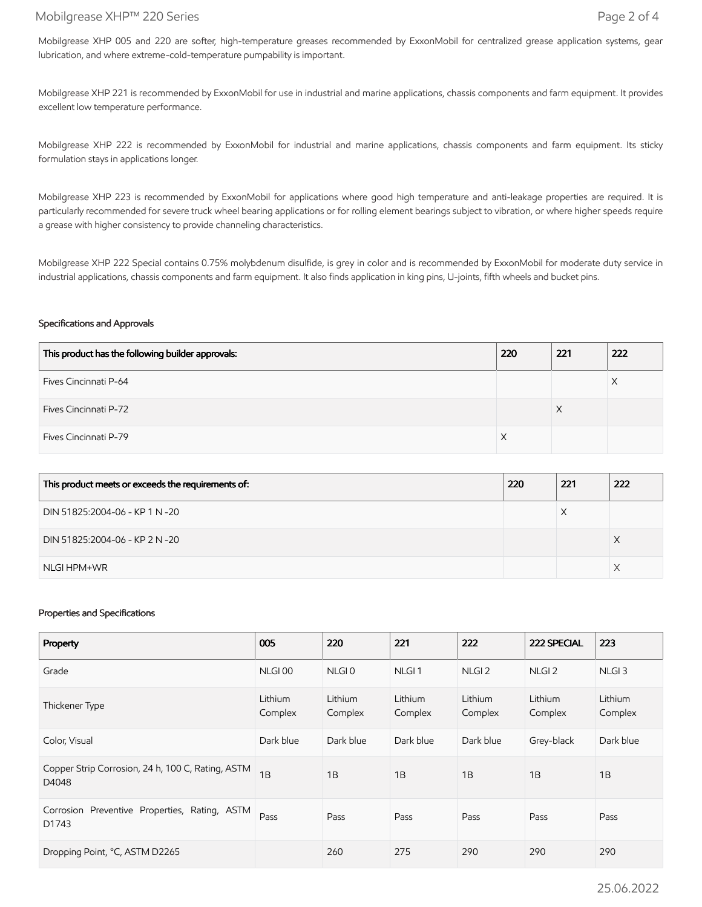## Mobilgrease XHP™ 220 Series Page 2 of 4

Mobilgrease XHP 005 and 220 are softer, high-temperature greases recommended by ExxonMobil for centralized grease application systems, gear lubrication, and where extreme-cold-temperature pumpability is important.

Mobilgrease XHP 221 is recommended by ExxonMobil for use in industrial and marine applications, chassis components and farm equipment. It provides excellent low temperature performance.

Mobilgrease XHP 222 is recommended by ExxonMobil for industrial and marine applications, chassis components and farm equipment. Its sticky formulation stays in applications longer.

Mobilgrease XHP 223 is recommended by ExxonMobil for applications where good high temperature and anti-leakage properties are required. It is particularly recommended for severe truck wheel bearing applications or for rolling element bearings subject to vibration, or where higher speeds require a grease with higher consistency to provide channeling characteristics.

Mobilgrease XHP 222 Special contains 0.75% molybdenum disulfide, is grey in color and is recommended by ExxonMobil for moderate duty service in industrial applications, chassis components and farm equipment. It also finds application in king pins, U-joints, fifth wheels and bucket pins.

#### Specifications and Approvals

| This product has the following builder approvals: | 220 | 221 | 222 |
|---------------------------------------------------|-----|-----|-----|
| Fives Cincinnati P-64                             |     |     |     |
| <b>Fives Cincinnati P-72</b>                      |     | ⋏   |     |
| Fives Cincinnati P-79                             |     |     |     |

| This product meets or exceeds the requirements of: | 220 | 221 | 222 |
|----------------------------------------------------|-----|-----|-----|
| DIN 51825:2004-06 - KP 1 N -20                     |     |     |     |
| DIN 51825:2004-06 - KP 2 N -20                     |     |     |     |
| NLGI HPM+WR                                        |     |     |     |

#### Properties and Specifications

| Property                                                   | 005                | 220                | 221                | 222                | 222 SPECIAL        | 223                |
|------------------------------------------------------------|--------------------|--------------------|--------------------|--------------------|--------------------|--------------------|
| Grade                                                      | NLGI <sub>00</sub> | NLGI <sub>0</sub>  | NLGI <sub>1</sub>  | NLGI <sub>2</sub>  | NLGI <sub>2</sub>  | NLGI <sub>3</sub>  |
| Thickener Type                                             | Lithium<br>Complex | Lithium<br>Complex | Lithium<br>Complex | Lithium<br>Complex | Lithium<br>Complex | Lithium<br>Complex |
| Color, Visual                                              | Dark blue          | Dark blue          | Dark blue          | Dark blue          | Grey-black         | Dark blue          |
| Copper Strip Corrosion, 24 h, 100 C, Rating, ASTM<br>D4048 | 1B                 | 1B                 | 1B                 | 1B                 | 1B                 | 1B                 |
| Corrosion Preventive Properties, Rating, ASTM<br>D1743     | Pass               | Pass               | Pass               | Pass               | Pass               | Pass               |
| Dropping Point, °C, ASTM D2265                             |                    | 260                | 275                | 290                | 290                | 290                |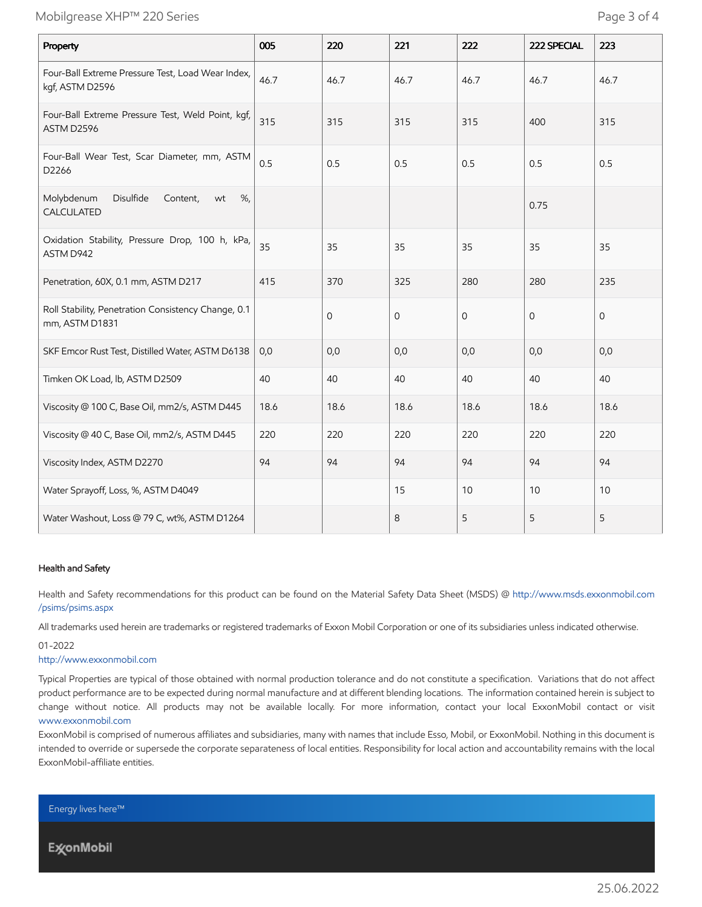# Mobilgrease XHP™ 220 Series Page 3 of 4

| Property                                                              | 005  | 220          | 221         | 222  | 222 SPECIAL    | 223         |
|-----------------------------------------------------------------------|------|--------------|-------------|------|----------------|-------------|
| Four-Ball Extreme Pressure Test, Load Wear Index,<br>kgf, ASTM D2596  | 46.7 | 46.7         | 46.7        | 46.7 | 46.7           | 46.7        |
| Four-Ball Extreme Pressure Test, Weld Point, kgf,<br>ASTM D2596       | 315  | 315          | 315         | 315  | 400            | 315         |
| Four-Ball Wear Test, Scar Diameter, mm, ASTM<br>D2266                 | 0.5  | 0.5          | 0.5         | 0.5  | 0.5            | 0.5         |
| Molybdenum<br>Disulfide<br>%<br>Content,<br>wt<br>CALCULATED          |      |              |             |      | 0.75           |             |
| Oxidation Stability, Pressure Drop, 100 h, kPa,<br>ASTM D942          | 35   | 35           | 35          | 35   | 35             | 35          |
| Penetration, 60X, 0.1 mm, ASTM D217                                   | 415  | 370          | 325         | 280  | 280            | 235         |
| Roll Stability, Penetration Consistency Change, 0.1<br>mm, ASTM D1831 |      | $\mathbf{0}$ | $\mathbf 0$ | 0    | $\overline{O}$ | $\mathbf 0$ |
| SKF Emcor Rust Test, Distilled Water, ASTM D6138                      | 0,0  | 0,0          | 0,0         | 0,0  | 0,0            | 0,0         |
| Timken OK Load, lb, ASTM D2509                                        | 40   | 40           | 40          | 40   | 40             | 40          |
| Viscosity @ 100 C, Base Oil, mm2/s, ASTM D445                         | 18.6 | 18.6         | 18.6        | 18.6 | 18.6           | 18.6        |
| Viscosity @ 40 C, Base Oil, mm2/s, ASTM D445                          | 220  | 220          | 220         | 220  | 220            | 220         |
| Viscosity Index, ASTM D2270                                           | 94   | 94           | 94          | 94   | 94             | 94          |
| Water Sprayoff, Loss, %, ASTM D4049                                   |      |              | 15          | 10   | 10             | 10          |
| Water Washout, Loss @ 79 C, wt%, ASTM D1264                           |      |              | 8           | 5    | 5              | 5           |

#### Health and Safety

Health and Safety recommendations for this product can be found on the Material Safety Data Sheet (MSDS) @ [http://www.msds.exxonmobil.com](http://www.msds.exxonmobil.com/psims/psims.aspx) /psims/psims.aspx

All trademarks used herein are trademarks or registered trademarks of Exxon Mobil Corporation or one of its subsidiaries unless indicated otherwise.

01-2022

#### [http://www.exxonmobil.com](http://www.exxonmobil.com/)

Typical Properties are typical of those obtained with normal production tolerance and do not constitute a specification. Variations that do not affect product performance are to be expected during normal manufacture and at different blending locations. The information contained herein is subject to change without notice. All products may not be available locally. For more information, contact your local ExxonMobil contact or visit [www.exxonmobil.com](http://www.exxonmobil.com/)

ExxonMobil is comprised of numerous affiliates and subsidiaries, many with names that include Esso, Mobil, or ExxonMobil. Nothing in this document is intended to override or supersede the corporate separateness of local entities. Responsibility for local action and accountability remains with the local ExxonMobil-affiliate entities.

Energy lives here™

**ExconMobil**